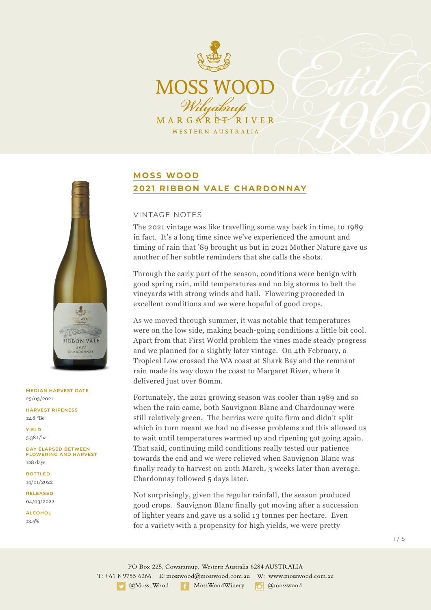



### **MEDIAN HARVEST DATE** 25/03/2021

**HARVEST RIPENESS** 12.8 °Be

**YIELD** 5.38 t/ha

**DAY ELAPSED BETWEEN FLOWERING AND HARVEST** 128 days

**BOTTLED** 14/01/2022

**RELEASED** 04/03/2022

**ALCOHOL** 13.5%

# **MOSS WOOD 2021 RIBBON VALE CHARDONNAY**

### VINTAGE NOTES

The 2021 vintage was like travelling some way back in time, to 1989 in fact. It's a long time since we've experienced the amount and timing of rain that '89 brought us but in 2021 Mother Nature gave us another of her subtle reminders that she calls the shots.

Through the early part of the season, conditions were benign with good spring rain, mild temperatures and no big storms to belt the vineyards with strong winds and hail. Flowering proceeded in excellent conditions and we were hopeful of good crops.

As we moved through summer, it was notable that temperatures were on the low side, making beach-going conditions a little bit cool. Apart from that First World problem the vines made steady progress and we planned for a slightly later vintage. On 4th February, a Tropical Low crossed the WA coast at Shark Bay and the remnant rain made its way down the coast to Margaret River, where it delivered just over 80mm.

Fortunately, the 2021 growing season was cooler than 1989 and so when the rain came, both Sauvignon Blanc and Chardonnay were still relatively green. The berries were quite firm and didn't split which in turn meant we had no disease problems and this allowed us to wait until temperatures warmed up and ripening got going again. That said, continuing mild conditions really tested our patience towards the end and we were relieved when Sauvignon Blanc was finally ready to harvest on 20th March, 3 weeks later than average. Chardonnay followed 5 days later.

Not surprisingly, given the regular rainfall, the season produced good crops. Sauvignon Blanc finally got moving after a succession of lighter years and gave us a solid 13 tonnes per hectare. Even for a variety with a propensity for high yields, we were pretty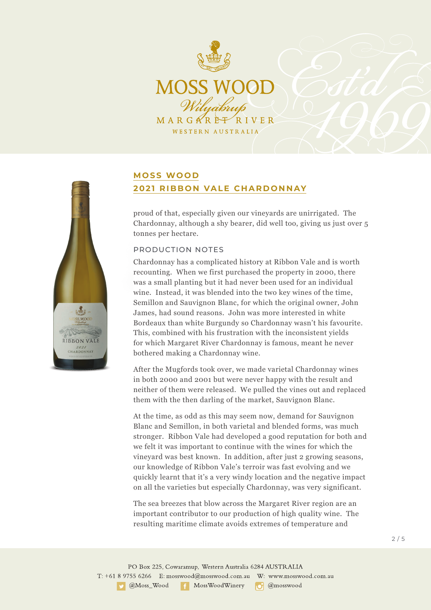

# **MOSS WOOD 2021 RIBBON VALE CHARDONNAY**

proud of that, especially given our vineyards are unirrigated. The Chardonnay, although a shy bearer, did well too, giving us just over 5 tonnes per hectare.

### PRODUCTION NOTES

Chardonnay has a complicated history at Ribbon Vale and is worth recounting. When we first purchased the property in 2000, there was a small planting but it had never been used for an individual wine. Instead, it was blended into the two key wines of the time, Semillon and Sauvignon Blanc, for which the original owner, John James, had sound reasons. John was more interested in white Bordeaux than white Burgundy so Chardonnay wasn't his favourite. This, combined with his frustration with the inconsistent yields for which Margaret River Chardonnay is famous, meant he never bothered making a Chardonnay wine.

After the Mugfords took over, we made varietal Chardonnay wines in both 2000 and 2001 but were never happy with the result and neither of them were released. We pulled the vines out and replaced them with the then darling of the market, Sauvignon Blanc.

At the time, as odd as this may seem now, demand for Sauvignon Blanc and Semillon, in both varietal and blended forms, was much stronger. Ribbon Vale had developed a good reputation for both and we felt it was important to continue with the wines for which the vineyard was best known. In addition, after just 2 growing seasons, our knowledge of Ribbon Vale's terroir was fast evolving and we quickly learnt that it's a very windy location and the negative impact on all the varieties but especially Chardonnay, was very significant.

The sea breezes that blow across the Margaret River region are an important contributor to our production of high quality wine. The resulting maritime climate avoids extremes of temperature and

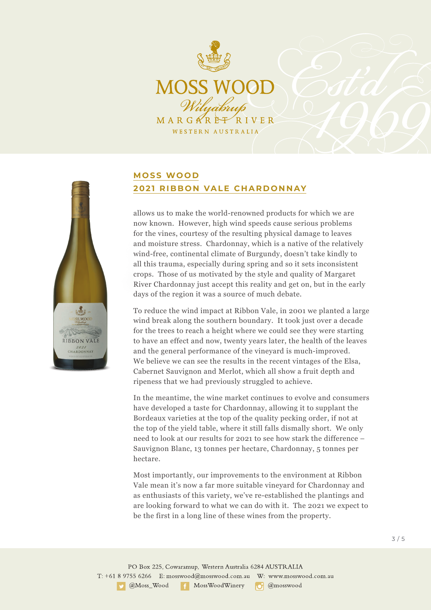

# S WOOD RIBBON VALE  $2021$ <br>CHARDONNAY

## **MOSS WOOD 2021 RIBBON VALE CHARDONNAY**

allows us to make the world-renowned products for which we are now known. However, high wind speeds cause serious problems for the vines, courtesy of the resulting physical damage to leaves and moisture stress. Chardonnay, which is a native of the relatively wind-free, continental climate of Burgundy, doesn't take kindly to all this trauma, especially during spring and so it sets inconsistent crops. Those of us motivated by the style and quality of Margaret River Chardonnay just accept this reality and get on, but in the early days of the region it was a source of much debate.

To reduce the wind impact at Ribbon Vale, in 2001 we planted a large wind break along the southern boundary. It took just over a decade for the trees to reach a height where we could see they were starting to have an effect and now, twenty years later, the health of the leaves and the general performance of the vineyard is much-improved. We believe we can see the results in the recent vintages of the Elsa, Cabernet Sauvignon and Merlot, which all show a fruit depth and ripeness that we had previously struggled to achieve.

In the meantime, the wine market continues to evolve and consumers have developed a taste for Chardonnay, allowing it to supplant the Bordeaux varieties at the top of the quality pecking order, if not at the top of the yield table, where it still falls dismally short. We only need to look at our results for 2021 to see how stark the difference – Sauvignon Blanc, 13 tonnes per hectare, Chardonnay, 5 tonnes per hectare.

Most importantly, our improvements to the environment at Ribbon Vale mean it's now a far more suitable vineyard for Chardonnay and as enthusiasts of this variety, we've re-established the plantings and are looking forward to what we can do with it. The 2021 we expect to be the first in a long line of these wines from the property.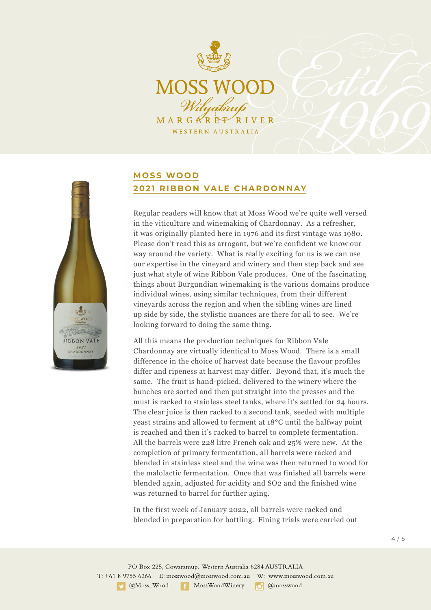

# S WOOD RIBBON VALE  $2021$ <br>CHARDONNAY

## **MOSS WOOD 2021 RIBBON VALE CHARDONNAY**

Regular readers will know that at Moss Wood we're quite well versed in the viticulture and winemaking of Chardonnay. As a refresher, it was originally planted here in 1976 and its first vintage was 1980. Please don't read this as arrogant, but we're confident we know our way around the variety. What is really exciting for us is we can use our expertise in the vineyard and winery and then step back and see just what style of wine Ribbon Vale produces. One of the fascinating things about Burgundian winemaking is the various domains produce individual wines, using similar techniques, from their different vineyards across the region and when the sibling wines are lined up side by side, the stylistic nuances are there for all to see. We're looking forward to doing the same thing.

All this means the production techniques for Ribbon Vale Chardonnay are virtually identical to Moss Wood. There is a small difference in the choice of harvest date because the flavour profiles differ and ripeness at harvest may differ. Beyond that, it's much the same. The fruit is hand-picked, delivered to the winery where the bunches are sorted and then put straight into the presses and the must is racked to stainless steel tanks, where it's settled for 24 hours. The clear juice is then racked to a second tank, seeded with multiple yeast strains and allowed to ferment at 18°C until the halfway point is reached and then it's racked to barrel to complete fermentation. All the barrels were 228 litre French oak and 25% were new. At the completion of primary fermentation, all barrels were racked and blended in stainless steel and the wine was then returned to wood for the malolactic fermentation. Once that was finished all barrels were blended again, adjusted for acidity and SO2 and the finished wine was returned to barrel for further aging.

In the first week of January 2022, all barrels were racked and blended in preparation for bottling. Fining trials were carried out